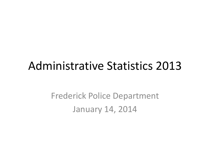# Administrative Statistics 2013

Frederick Police Department January 14, 2014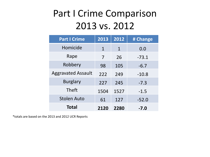## Part I Crime Comparison 2013 vs. 2012

| <b>Part I Crime</b>       | 2013        | 2012               | # Change |  |
|---------------------------|-------------|--------------------|----------|--|
| Homicide                  | $\mathbf 1$ | 0.0<br>$\mathbf 1$ |          |  |
| Rape                      | 7           | 26                 | $-73.1$  |  |
| Robbery                   | 98          | 105                | $-6.7$   |  |
| <b>Aggravated Assault</b> | 222         | 249                | $-10.8$  |  |
| <b>Burglary</b>           | 227         | 245                | $-7.3$   |  |
| <b>Theft</b>              | 1504        | 1527               | $-1.5$   |  |
| <b>Stolen Auto</b>        | 61          | 127                | $-52.0$  |  |
| <b>Total</b>              | 2120        | 2280               | $-7.0$   |  |

\*totals are based on the 2013 and 2012 UCR Reports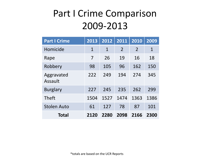### Part I Crime Comparison 2009-2013

| <b>Part I Crime</b>   | 2013         | 2012         | 2011           | 2010           | 2009        |
|-----------------------|--------------|--------------|----------------|----------------|-------------|
| Homicide              | $\mathbf{1}$ | $\mathbf{1}$ | $\overline{2}$ | $\overline{2}$ | $\mathbf 1$ |
| Rape                  | 7            | 26           | 19             | 16             | 18          |
| Robbery               | 98           | 105          | 96             | 162            | 150         |
| Aggravated<br>Assault | 222          | 249          | 194            | 274            | 345         |
| <b>Burglary</b>       | 227          | 245          | 235            | 262            | 299         |
| <b>Theft</b>          | 1504         | 1527         | 1474           | 1363           | 1386        |
| <b>Stolen Auto</b>    | 61           | 127          | 78             | 87             | 101         |
| <b>Total</b>          | 2120         | 2280         | 2098           | 2166           | 2300        |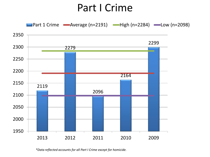### Part I Crime

**Part 1 Crime Average (n=2191)** High (n=2284) **-Low (n=2098)** 



*\*Data reflected accounts for all Part I Crime except for homicide.*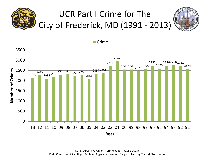





Data Source: FPD Uniform Crime Reports (1991-2013). Part I Crime: Homicide, Rape, Robbery, Aggravated Assault, Burglary, Larceny-Theft & Stolen Auto.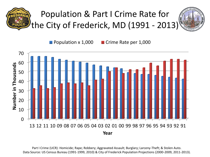

**Population x 1,000 Crime Rate per 1,000** 



Part I Crime (UCR): Homicide; Rape; Robbery; Aggravated Assault; Burglary; Larceny-Theft; & Stolen Auto. Data Source: US Census Bureau (1991-1999, 2010) & City of Frederick Population Projections (2000-2009, 2011-2013).